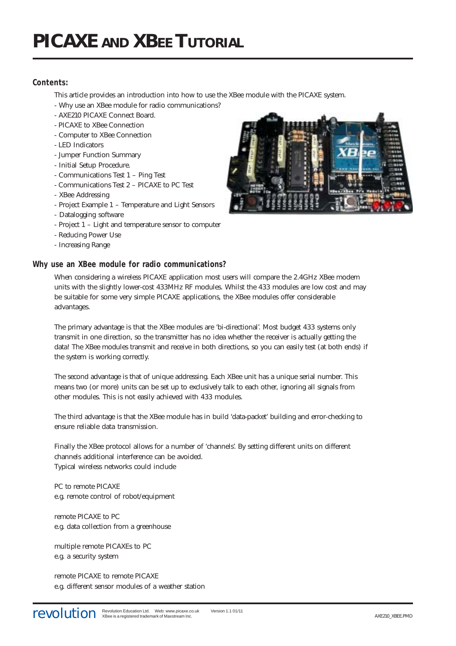# **Contents:**

This article provides an introduction into how to use the XBee module with the PICAXE system.

- Why use an XBee module for radio communications?
- AXE210 PICAXE Connect Board.
- PICAXE to XBee Connection
- Computer to XBee Connection
- LED Indicators
- Jumper Function Summary
- Initial Setup Procedure.
- Communications Test 1 Ping Test
- Communications Test 2 PICAXE to PC Test
- XBee Addressing
- Project Example 1 Temperature and Light Sensors
- Datalogging software
- Project 1 Light and temperature sensor to computer
- Reducing Power Use
- Increasing Range

# **Why use an XBee module for radio communications?**

When considering a wireless PICAXE application most users will compare the 2.4GHz XBee modem units with the slightly lower-cost 433MHz RF modules. Whilst the 433 modules are low cost and may be suitable for some very simple PICAXE applications, the XBee modules offer considerable advantages.

The primary advantage is that the XBee modules are 'bi-directional'. Most budget 433 systems only transmit in one direction, so the transmitter has no idea whether the receiver is actually getting the data! The XBee modules transmit and receive in both directions, so you can easily test (at both ends) if the system is working correctly.

The second advantage is that of unique addressing. Each XBee unit has a unique serial number. This means two (or more) units can be set up to exclusively talk to each other, ignoring all signals from other modules. This is not easily achieved with 433 modules.

The third advantage is that the XBee module has in build 'data-packet' building and error-checking to ensure reliable data transmission.

Finally the XBee protocol allows for a number of 'channels'. By setting different units on different channels additional interference can be avoided. Typical wireless networks could include

PC to remote PICAXE e.g. remote control of robot/equipment

remote PICAXE to PC e.g. data collection from a greenhouse

multiple remote PICAXEs to PC e.g. a security system

remote PICAXE to remote PICAXE e.g. different sensor modules of a weather station

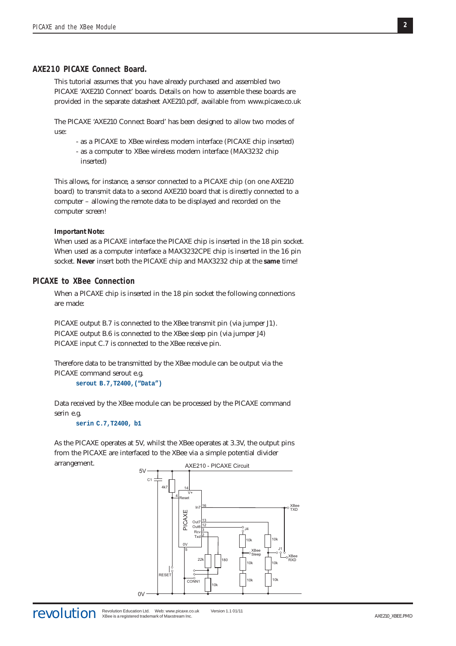#### **AXE210 PICAXE Connect Board.**

This tutorial assumes that you have already purchased and assembled two PICAXE 'AXE210 Connect' boards. Details on how to assemble these boards are provided in the separate datasheet AXE210.pdf, available from www.picaxe.co.uk

The PICAXE 'AXE210 Connect Board' has been designed to allow two modes of use:

- as a PICAXE to XBee wireless modem interface (PICAXE chip inserted)

- as a computer to XBee wireless modem interface (MAX3232 chip inserted)

This allows, for instance, a sensor connected to a PICAXE chip (on one AXE210 board) to transmit data to a second AXE210 board that is directly connected to a computer – allowing the remote data to be displayed and recorded on the computer screen!

#### **Important Note:**

When used as a PICAXE interface the PICAXE chip is inserted in the 18 pin socket. When used as a computer interface a MAX3232CPE chip is inserted in the 16 pin socket. **Never** insert both the PICAXE chip and MAX3232 chip at the **same** time!

# **PICAXE to XBee Connection**

When a PICAXE chip is inserted in the 18 pin socket the following connections are made:

PICAXE output B.7 is connected to the XBee transmit pin (via jumper J1). PICAXE output B.6 is connected to the XBee sleep pin (via jumper J4) PICAXE input C.7 is connected to the XBee receive pin.

Therefore data to be transmitted by the XBee module can be output via the PICAXE command serout e.g.

**serout B.7,T2400,("Data")**

Data received by the XBee module can be processed by the PICAXE command serin e.g.

**serin C.7,T2400, b1**

As the PICAXE operates at 5V, whilst the XBee operates at 3.3V, the output pins from the PICAXE are interfaced to the XBee via a simple potential divider arrangement.

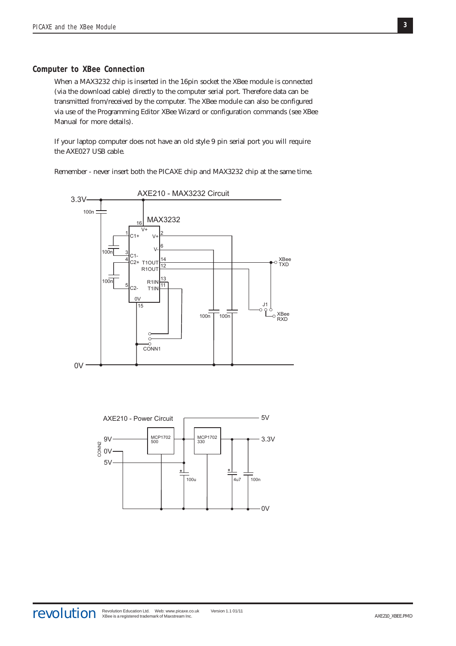## **Computer to XBee Connection**

When a MAX3232 chip is inserted in the 16pin socket the XBee module is connected (via the download cable) directly to the computer serial port. Therefore data can be transmitted from/received by the computer. The XBee module can also be configured via use of the Programming Editor XBee Wizard or configuration commands (see XBee Manual for more details).

If your laptop computer does not have an old style 9 pin serial port you will require the AXE027 USB cable.

Remember - never insert both the PICAXE chip and MAX3232 chip at the same time.



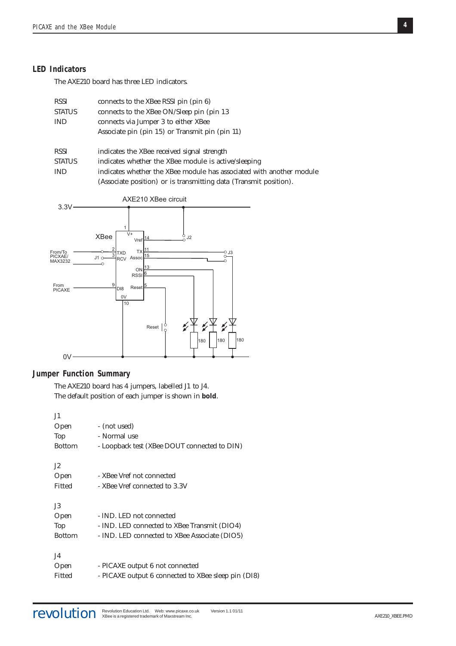## **LED Indicators**

The AXE210 board has three LED indicators.

| <b>RSSI</b>   | connects to the XBee RSSI pin (pin 6)                                |
|---------------|----------------------------------------------------------------------|
| <b>STATUS</b> | connects to the XBee ON/Sleep pin (pin 13)                           |
| <b>IND</b>    | connects via Jumper 3 to either XBee                                 |
|               | Associate pin (pin 15) or Transmit pin (pin 11)                      |
|               |                                                                      |
| <b>RSSI</b>   | indicates the XBee received signal strength                          |
| <b>STATUS</b> | indicates whether the XBee module is active/sleeping                 |
| <b>IND</b>    | indicates whether the XBee module has associated with another module |
|               | (Associate position) or is transmitting data (Transmit position).    |



# **Jumper Function Summary**

The AXE210 board has 4 jumpers, labelled J1 to J4. The default position of each jumper is shown in **bold**.

| - (not used)                                        |
|-----------------------------------------------------|
| - Normal use                                        |
| - Loopback test (XBee DOUT connected to DIN)        |
|                                                     |
| - XBee Vref not connected                           |
| - XBee Vref connected to 3.3V                       |
|                                                     |
| - IND. LED not connected                            |
| - IND. LED connected to XBee Transmit (DIO4)        |
| - IND. LED connected to XBee Associate (DIO5)       |
|                                                     |
| - PICAXE output 6 not connected                     |
| - PICAXE output 6 connected to XBee sleep pin (DI8) |
|                                                     |

**4**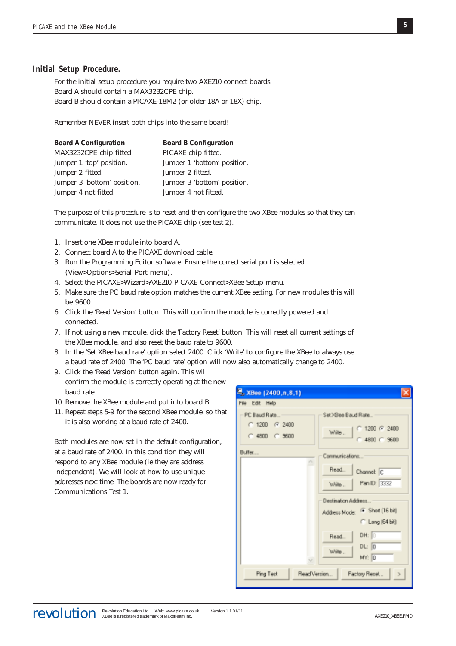### **Initial Setup Procedure.**

For the initial setup procedure you require two AXE210 connect boards Board A should contain a MAX3232CPE chip. Board B should contain a PICAXE-18M2 (or older 18A or 18X) chip.

Remember NEVER insert both chips into the same board!

| <b>Board A Configuration</b> | <b>Board B Configuration</b> |
|------------------------------|------------------------------|
| MAX3232CPE chip fitted.      | PICAXE chip fitted.          |
| Jumper 1 'top' position.     | Jumper 1 'bottom' position.  |
| Jumper 2 fitted.             | Jumper 2 fitted.             |
| Jumper 3 'bottom' position.  | Jumper 3 'bottom' position.  |
| Jumper 4 not fitted.         | Jumper 4 not fitted.         |

The purpose of this procedure is to reset and then configure the two XBee modules so that they can communicate. It does not use the PICAXE chip (see test 2).

- 1. Insert one XBee module into board A.
- 2. Connect board A to the PICAXE download cable.
- 3. Run the Programming Editor software. Ensure the correct serial port is selected (View>Options>Serial Port menu).
- 4. Select the PICAXE>Wizard>AXE210 PICAXE Connect>XBee Setup menu.
- 5. Make sure the PC baud rate option matches the current XBee setting. For new modules this will be 9600.
- 6. Click the 'Read Version' button. This will confirm the module is correctly powered and connected.
- 7. If not using a new module, click the 'Factory Reset' button. This will reset all current settings of the XBee module, and also reset the baud rate to 9600.
- 8. In the 'Set XBee baud rate' option select 2400. Click 'Write' to configure the XBee to always use a baud rate of 2400. The 'PC baud rate' option will now also automatically change to 2400.
- 9. Click the 'Read Version' button again. This will
- confirm the module is correctly operating at the new baud rate.
- 10. Remove the XBee module and put into board B.
- 11. Repeat steps 5-9 for the second XBee module, so that it is also working at a baud rate of 2400.

Both modules are now set in the default configuration, at a baud rate of 2400. In this condition they will respond to any XBee module (ie they are address independent). We will look at how to use unique addresses next time. The boards are now ready for Communications Test 1.

| ■ XBee (2400,n,8,1)                                                      |                                                                                                                                                                                     |
|--------------------------------------------------------------------------|-------------------------------------------------------------------------------------------------------------------------------------------------------------------------------------|
| File Edit Help<br>PC Baud Rate<br>$C$ 1200 $F$ 2400<br>$C$ 4800 $C$ 9600 | Set XBee Baud Rate<br>$1200$ $(F 2400)$<br>Wate<br>$C$ 4800 $C$ 9600                                                                                                                |
| Buffer                                                                   | Communications<br>Read<br>Channel C<br>Pan ID: 3332<br>Wate<br>Destination Address<br>Address Mode: (F Short [16 bit]<br>C Long (64 bit)<br>DH: 0<br>Read<br>DL: 0<br>Wate<br>MY: 0 |
| Read Version<br>Ping Test                                                | Factory Reset                                                                                                                                                                       |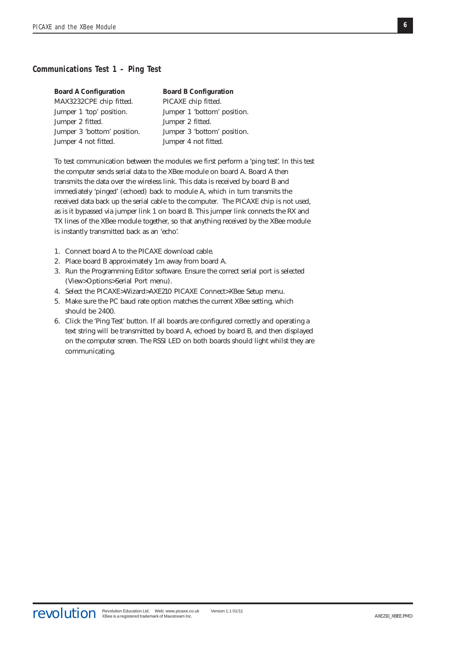# **Communications Test 1 – Ping Test**

| <b>Board A Configuration</b> | <b>Board B Configuration</b> |
|------------------------------|------------------------------|
| MAX3232CPE chip fitted.      | PICAXE chip fitted.          |
| Jumper 1 'top' position.     | Jumper 1 'bottom' position.  |
| Jumper 2 fitted.             | Jumper 2 fitted.             |
| Jumper 3 'bottom' position.  | Jumper 3 'bottom' position.  |
| Jumper 4 not fitted.         | Jumper 4 not fitted.         |

To test communication between the modules we first perform a 'ping test'. In this test the computer sends serial data to the XBee module on board A. Board A then transmits the data over the wireless link. This data is received by board B and immediately 'pinged' (echoed) back to module A, which in turn transmits the received data back up the serial cable to the computer. The PICAXE chip is not used, as is it bypassed via jumper link 1 on board B. This jumper link connects the RX and TX lines of the XBee module together, so that anything received by the XBee module is instantly transmitted back as an 'echo'.

- 1. Connect board A to the PICAXE download cable.
- 2. Place board B approximately 1m away from board A.
- 3. Run the Programming Editor software. Ensure the correct serial port is selected (View>Options>Serial Port menu).
- 4. Select the PICAXE>Wizard>AXE210 PICAXE Connect>XBee Setup menu.
- 5. Make sure the PC baud rate option matches the current XBee setting, which should be 2400.
- 6. Click the 'Ping Test' button. If all boards are configured correctly and operating a text string will be transmitted by board A, echoed by board B, and then displayed on the computer screen. The RSSI LED on both boards should light whilst they are communicating.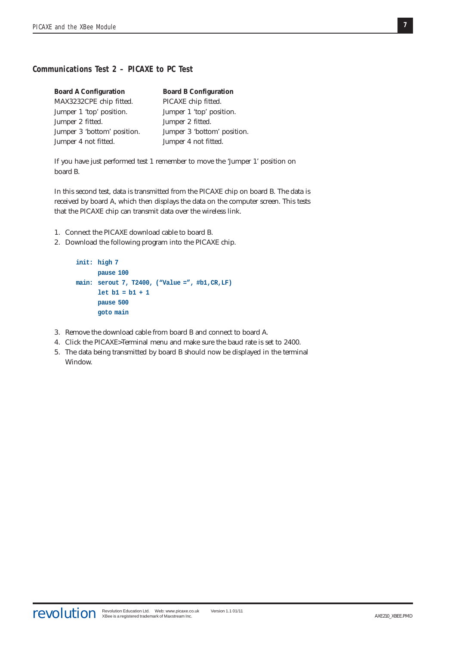# **Communications Test 2 – PICAXE to PC Test**

| <b>Board A Configuration</b> | <b>Board B Configuration</b> |
|------------------------------|------------------------------|
| MAX3232CPE chip fitted.      | PICAXE chip fitted.          |
| Jumper 1 'top' position.     | Jumper 1 'top' position.     |
| Jumper 2 fitted.             | Jumper 2 fitted.             |
| Jumper 3 'bottom' position.  | Jumper 3 'bottom' position.  |
| Jumper 4 not fitted.         | Jumper 4 not fitted.         |

If you have just performed test 1 remember to move the 'Jumper 1' position on board B.

In this second test, data is transmitted from the PICAXE chip on board B. The data is received by board A, which then displays the data on the computer screen. This tests that the PICAXE chip can transmit data over the wireless link.

- 1. Connect the PICAXE download cable to board B.
- 2. Download the following program into the PICAXE chip.

```
init: high 7
      pause 100
main: serout 7, T2400, ("Value =", #b1,CR,LF)
      let b1 = b1 + 1
      pause 500
      goto main
```
- 3. Remove the download cable from board B and connect to board A.
- 4. Click the PICAXE>Terminal menu and make sure the baud rate is set to 2400.
- 5. The data being transmitted by board B should now be displayed in the terminal Window.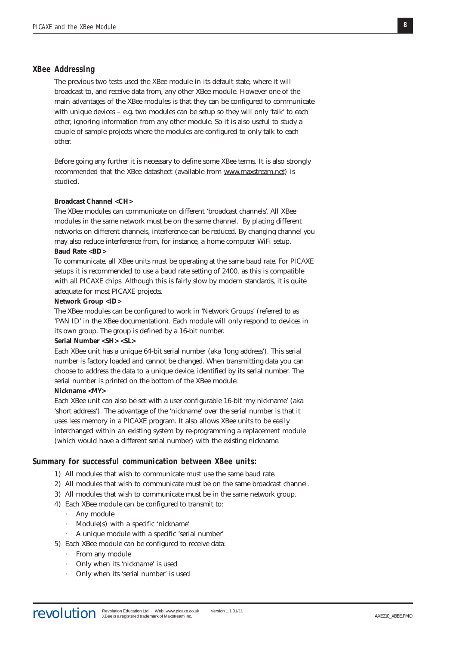### **XBee Addressing**

The previous two tests used the XBee module in its default state, where it will broadcast to, and receive data from, any other XBee module. However one of the main advantages of the XBee modules is that they can be configured to communicate with unique devices  $-$  e.g. two modules can be setup so they will only 'talk' to each other, ignoring information from any other module. So it is also useful to study a couple of sample projects where the modules are configured to only talk to each other.

Before going any further it is necessary to define some XBee terms. It is also strongly recommended that the XBee datasheet (available from www.maxstream.net) is studied.

## **Broadcast Channel <CH>**

The XBee modules can communicate on different 'broadcast channels'. All XBee modules in the same network must be on the same channel. By placing different networks on different channels, interference can be reduced. By changing channel you may also reduce interference from, for instance, a home computer WiFi setup. **Baud Rate <BD>**

To communicate, all XBee units must be operating at the same baud rate. For PICAXE setups it is recommended to use a baud rate setting of 2400, as this is compatible with all PICAXE chips. Although this is fairly slow by modern standards, it is quite adequate for most PICAXE projects.

#### **Network Group <ID>**

The XBee modules can be configured to work in 'Network Groups' (referred to as 'PAN ID' in the XBee documentation). Each module will only respond to devices in its own group. The group is defined by a 16-bit number.

### **Serial Number <SH> <SL>**

Each XBee unit has a unique 64-bit serial number (aka 'long address'). This serial number is factory loaded and cannot be changed. When transmitting data you can choose to address the data to a unique device, identified by its serial number. The serial number is printed on the bottom of the XBee module.

# **Nickname <MY>**

Each XBee unit can also be set with a user configurable 16-bit 'my nickname' (aka 'short address'). The advantage of the 'nickname' over the serial number is that it uses less memory in a PICAXE program. It also allows XBee units to be easily interchanged within an existing system by re-programming a replacement module (which would have a different serial number) with the existing nickname.

## **Summary for successful communication between XBee units:**

- 1) All modules that wish to communicate must use the same baud rate.
- 2) All modules that wish to communicate must be on the same broadcast channel.
- 3) All modules that wish to communicate must be in the same network group.
- 4) Each XBee module can be configured to transmit to:
	- · Any module
	- · Module(s) with a specific 'nickname'
	- · A unique module with a specific 'serial number'
- 5) Each XBee module can be configured to receive data:
	- · From any module
	- · Only when its 'nickname' is used
	- · Only when its 'serial number' is used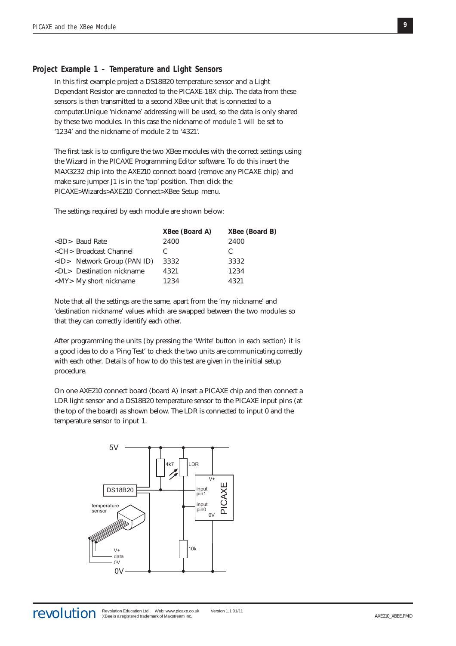# **Project Example 1 – Temperature and Light Sensors**

In this first example project a DS18B20 temperature sensor and a Light Dependant Resistor are connected to the PICAXE-18X chip. The data from these sensors is then transmitted to a second XBee unit that is connected to a computer.Unique 'nickname' addressing will be used, so the data is only shared by these two modules. In this case the nickname of module 1 will be set to '1234' and the nickname of module 2 to '4321'.

The first task is to configure the two XBee modules with the correct settings using the Wizard in the PICAXE Programming Editor software. To do this insert the MAX3232 chip into the AXE210 connect board (remove any PICAXE chip) and make sure jumper J1 is in the 'top' position. Then click the PICAXE>Wizards>AXE210 Connect>XBee Setup menu.

The settings required by each module are shown below:

|                                      | <b>XBee (Board A)</b> | <b>XBee (Board B)</b> |
|--------------------------------------|-----------------------|-----------------------|
| $\langle$ BD> Baud Rate              | 2400                  | 2400                  |
| <ch> Broadcast Channel</ch>          | C                     | C                     |
| $\langle$ ID> Network Group (PAN ID) | 3332                  | 3332                  |
| <dl> Destination nickname</dl>       | 4321                  | 1234                  |
| <my> My short nickname</my>          | 1234                  | 4321                  |

Note that all the settings are the same, apart from the 'my nickname' and 'destination nickname' values which are swapped between the two modules so that they can correctly identify each other.

After programming the units (by pressing the 'Write' button in each section) it is a good idea to do a 'Ping Test' to check the two units are communicating correctly with each other. Details of how to do this test are given in the initial setup procedure.

On one AXE210 connect board (board A) insert a PICAXE chip and then connect a LDR light sensor and a DS18B20 temperature sensor to the PICAXE input pins (at the top of the board) as shown below. The LDR is connected to input 0 and the temperature sensor to input 1.

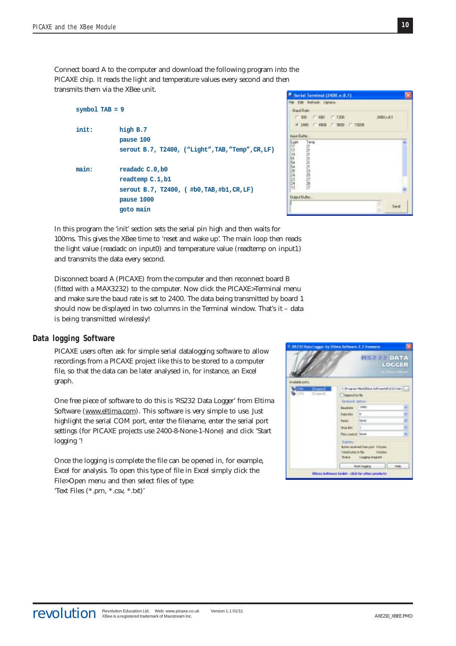Connect board A to the computer and download the following program into the PICAXE chip. It reads the light and temperature values every second and then transmits them via the XBee unit.

```
symbol TAB = 9
init: high B.7
            pause 100
            serout B.7, T2400, ("Light",TAB,"Temp",CR,LF)
main: readadc C.0,b0
           readtemp C.1,b1
            serout B.7, T2400, ( #b0,TAB,#b1,CR,LF)
            pause 1000
            goto main
```


In this program the 'init' section sets the serial pin high and then waits for 100ms. This gives the XBee time to 'reset and wake up'. The main loop then reads the light value (readadc on input0) and temperature value (readtemp on input1) and transmits the data every second.

Disconnect board A (PICAXE) from the computer and then reconnect board B (fitted with a MAX3232) to the computer. Now click the PICAXE>Terminal menu and make sure the baud rate is set to 2400. The data being transmitted by board 1 should now be displayed in two columns in the Terminal window. That's it – data is being transmitted wirelessly!

## **Data logging Software**

PICAXE users often ask for simple serial datalogging software to allow recordings from a PICAXE project like this to be stored to a computer file, so that the data can be later analysed in, for instance, an Excel graph.

One free piece of software to do this is 'RS232 Data Logger' from Eltima Software (www.eltima.com). This software is very simple to use. Just highlight the serial COM port, enter the filename, enter the serial port settings (for PICAXE projects use 2400-8-None-1-None) and click 'Start logging '!

Once the logging is complete the file can be opened in, for example, Excel for analysis. To open this type of file in Excel simply click the File>Open menu and then select files of type: 'Text Files (\*.prn, \*.csv, \*.txt)'

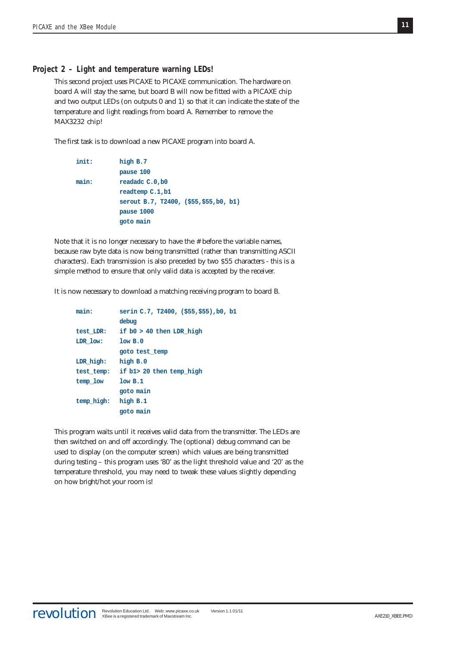# **Project 2 – Light and temperature warning LEDs!**

This second project uses PICAXE to PICAXE communication. The hardware on board A will stay the same, but board B will now be fitted with a PICAXE chip and two output LEDs (on outputs 0 and 1) so that it can indicate the state of the temperature and light readings from board A. Remember to remove the MAX3232 chip!

The first task is to download a new PICAXE program into board A.

```
init: high B.7
           pause 100
main: readadc C.0,b0
           readtemp C.1,b1
           serout B.7, T2400, ($55,$55,b0, b1)
           pause 1000
           goto main
```
Note that it is no longer necessary to have the # before the variable names, because raw byte data is now being transmitted (rather than transmitting ASCII characters). Each transmission is also preceded by two \$55 characters - this is a simple method to ensure that only valid data is accepted by the receiver.

It is now necessary to download a matching receiving program to board B.

| main:      | serin C.7, T2400, (\$55,\$55), b0, b1 |
|------------|---------------------------------------|
|            | debug                                 |
| test LDR:  | if b0 > 40 then LDR high              |
| LDR low:   | low B.0                               |
|            | goto test temp                        |
| LDR high:  | high $B.0$                            |
| test temp: | if b1> 20 then temp high              |
| temp low   | low B.1                               |
|            | goto main                             |
| temp high: | high B.1                              |
|            | goto main                             |

This program waits until it receives valid data from the transmitter. The LEDs are then switched on and off accordingly. The (optional) debug command can be used to display (on the computer screen) which values are being transmitted during testing – this program uses '80' as the light threshold value and '20' as the temperature threshold, you may need to tweak these values slightly depending on how bright/hot your room is!